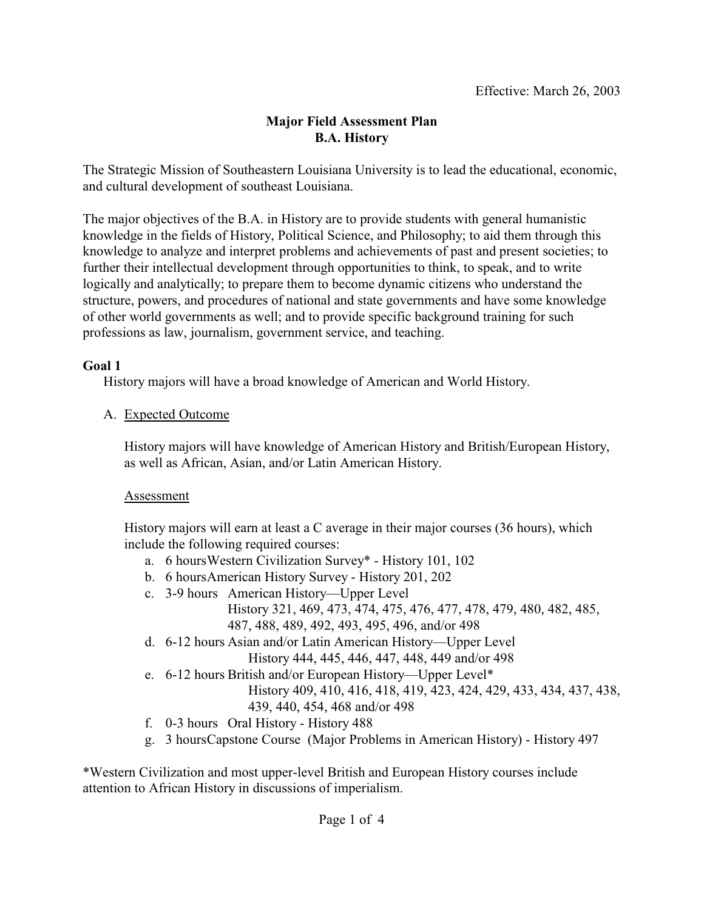## **Major Field Assessment Plan B.A. History**

The Strategic Mission of Southeastern Louisiana University is to lead the educational, economic, and cultural development of southeast Louisiana.

The major objectives of the B.A. in History are to provide students with general humanistic knowledge in the fields of History, Political Science, and Philosophy; to aid them through this knowledge to analyze and interpret problems and achievements of past and present societies; to further their intellectual development through opportunities to think, to speak, and to write logically and analytically; to prepare them to become dynamic citizens who understand the structure, powers, and procedures of national and state governments and have some knowledge of other world governments as well; and to provide specific background training for such professions as law, journalism, government service, and teaching.

## **Goal 1**

History majors will have a broad knowledge of American and World History.

A. Expected Outcome

History majors will have knowledge of American History and British/European History, as well as African, Asian, and/or Latin American History.

## Assessment

History majors will earn at least a C average in their major courses (36 hours), which include the following required courses:

- a. 6 hoursWestern Civilization Survey\* History 101, 102
- b. 6 hoursAmerican History Survey History 201, 202
- c. 3-9 hours American History—Upper Level History 321, 469, 473, 474, 475, 476, 477, 478, 479, 480, 482, 485, 487, 488, 489, 492, 493, 495, 496, and/or 498
- d. 6-12 hours Asian and/or Latin American History—Upper Level History 444, 445, 446, 447, 448, 449 and/or 498
- e. 6-12 hours British and/or European History—Upper Level\*
	- History 409, 410, 416, 418, 419, 423, 424, 429, 433, 434, 437, 438, 439, 440, 454, 468 and/or 498
- f. 0-3 hours Oral History History 488
- g. 3 hoursCapstone Course (Major Problems in American History) History 497

\*Western Civilization and most upper-level British and European History courses include attention to African History in discussions of imperialism.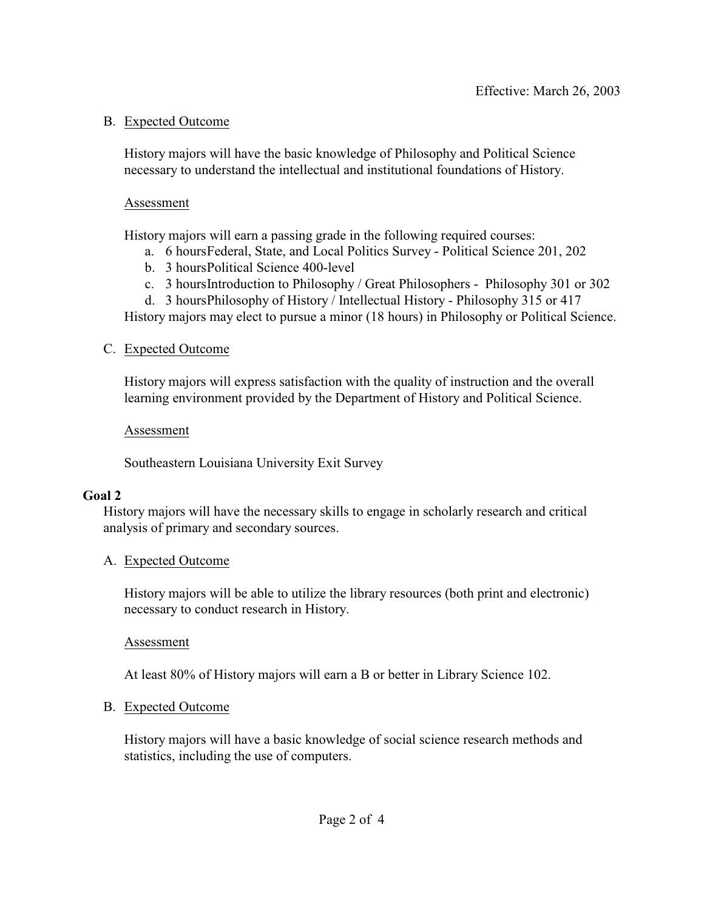#### B. Expected Outcome

History majors will have the basic knowledge of Philosophy and Political Science necessary to understand the intellectual and institutional foundations of History.

#### Assessment

History majors will earn a passing grade in the following required courses:

- a. 6 hoursFederal, State, and Local Politics Survey Political Science 201, 202
- b. 3 hoursPolitical Science 400-level
- c. 3 hoursIntroduction to Philosophy / Great Philosophers Philosophy 301 or 302
- d. 3 hoursPhilosophy of History / Intellectual History Philosophy 315 or 417

History majors may elect to pursue a minor (18 hours) in Philosophy or Political Science.

#### C. Expected Outcome

History majors will express satisfaction with the quality of instruction and the overall learning environment provided by the Department of History and Political Science.

#### Assessment

Southeastern Louisiana University Exit Survey

## **Goal 2**

History majors will have the necessary skills to engage in scholarly research and critical analysis of primary and secondary sources.

#### A. Expected Outcome

History majors will be able to utilize the library resources (both print and electronic) necessary to conduct research in History.

Assessment

At least 80% of History majors will earn a B or better in Library Science 102.

## B. Expected Outcome

History majors will have a basic knowledge of social science research methods and statistics, including the use of computers.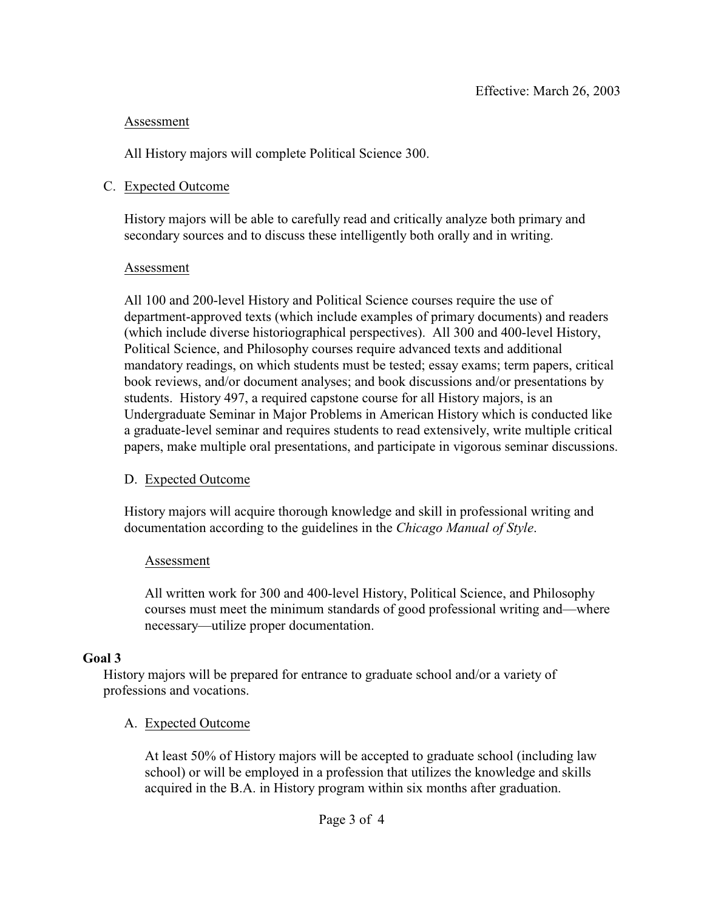### Assessment

All History majors will complete Political Science 300.

### C. Expected Outcome

History majors will be able to carefully read and critically analyze both primary and secondary sources and to discuss these intelligently both orally and in writing.

#### Assessment

All 100 and 200-level History and Political Science courses require the use of department-approved texts (which include examples of primary documents) and readers (which include diverse historiographical perspectives). All 300 and 400-level History, Political Science, and Philosophy courses require advanced texts and additional mandatory readings, on which students must be tested; essay exams; term papers, critical book reviews, and/or document analyses; and book discussions and/or presentations by students. History 497, a required capstone course for all History majors, is an Undergraduate Seminar in Major Problems in American History which is conducted like a graduate-level seminar and requires students to read extensively, write multiple critical papers, make multiple oral presentations, and participate in vigorous seminar discussions.

## D. Expected Outcome

History majors will acquire thorough knowledge and skill in professional writing and documentation according to the guidelines in the *Chicago Manual of Style*.

#### Assessment

All written work for 300 and 400-level History, Political Science, and Philosophy courses must meet the minimum standards of good professional writing and—where necessary—utilize proper documentation.

## **Goal 3**

History majors will be prepared for entrance to graduate school and/or a variety of professions and vocations.

## A. Expected Outcome

At least 50% of History majors will be accepted to graduate school (including law school) or will be employed in a profession that utilizes the knowledge and skills acquired in the B.A. in History program within six months after graduation.